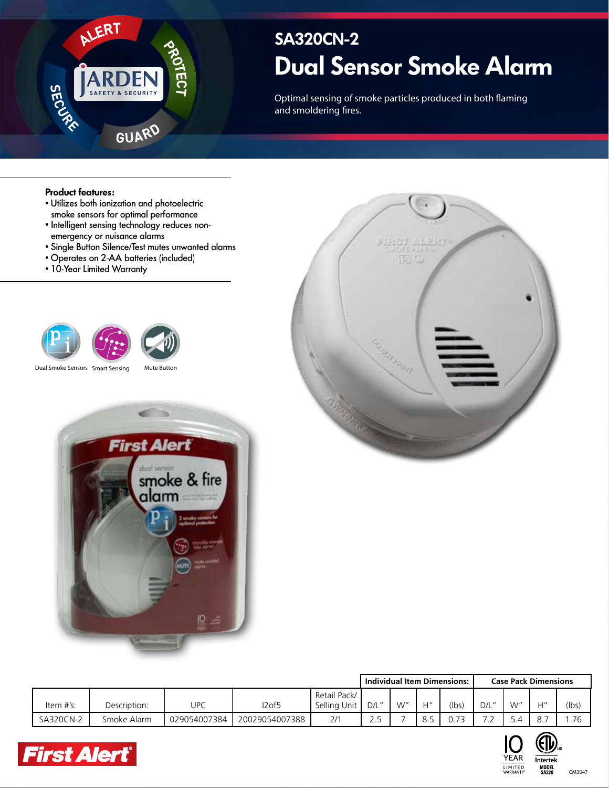

# **Dual Sensor Smoke Alarm SA320CN-2**

Optimal sensing of smoke particles produced in both flaming and smoldering fires.

#### **Product features:**

- Utilizes both ionization and photoelectric smoke sensors for optimal performance
- Intelligent sensing technology reduces nonemergency or nuisance alarms
- Single Button Silence/Test mutes unwanted alarms
- Operates on 2-AA batteries (included)
- 10-Year Limited Warranty



Dual Smoke Sensors Smart Sensing Mute Button





|           |              |              |                |                              | Individual Item Dimensions: |    |                | <b>Case Pack Dimensions</b> |       |     |                 |       |
|-----------|--------------|--------------|----------------|------------------------------|-----------------------------|----|----------------|-----------------------------|-------|-----|-----------------|-------|
| Item #'s: | Description: | UPC          | I2of5          | Retail Pack/<br>Selling Unit | D/L''                       | W" | H''            | (lbs)                       | D/L'' | W"  | 11 <sup>n</sup> | (lbs) |
| SA320CN-2 | Smoke Alarm  | 029054007384 | 20029054007388 | 2/1                          | ر .                         |    | $\circ$<br>O.J | $\overline{\phantom{a}}$    | $-$   | 5.4 | 8.7             | .76   |





CM3047